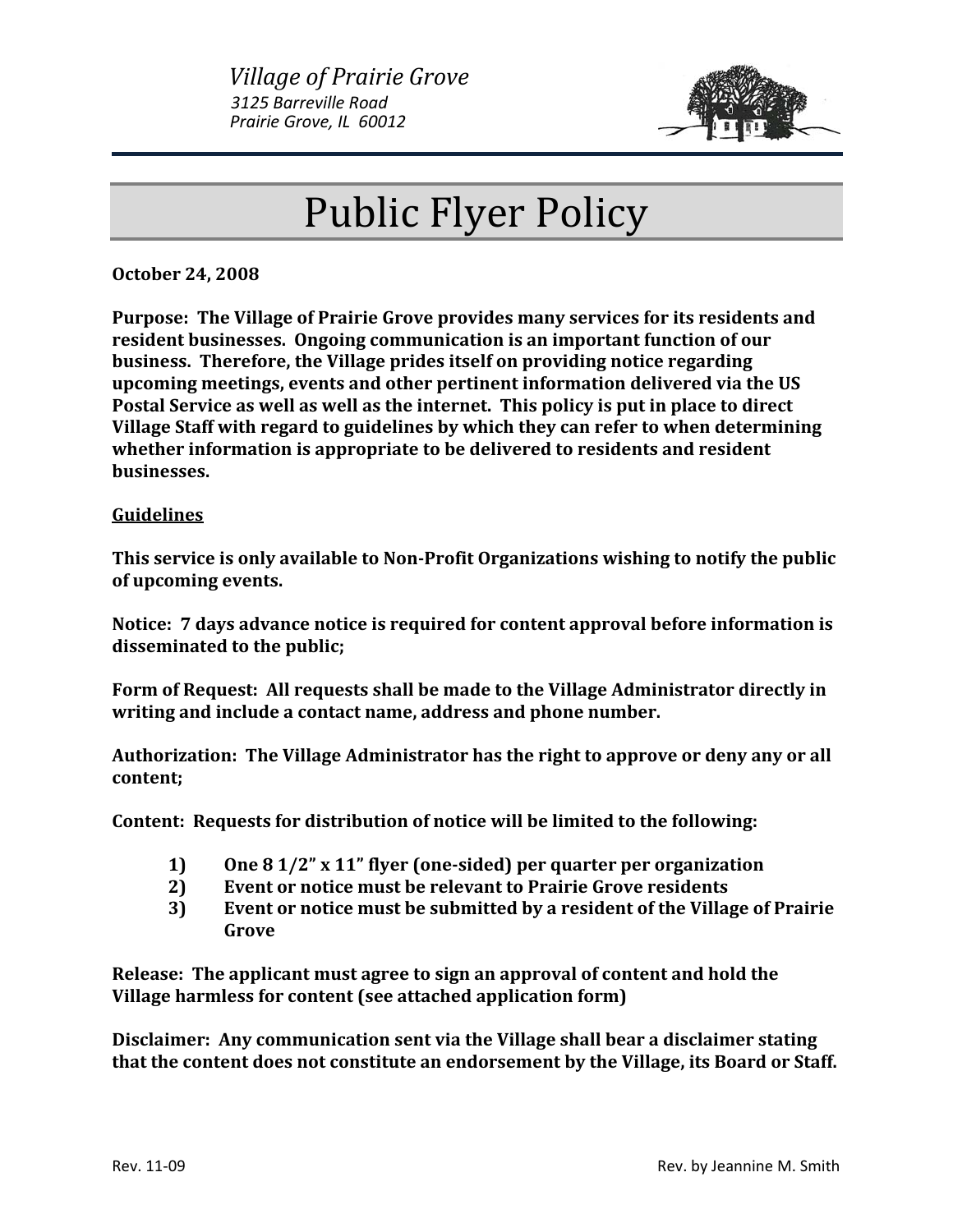

## Public Flyer Policy

**October 24, 2008**

**Purpose: The Village of Prairie Grove provides many services for its residents and resident businesses. Ongoing communication is an important function of our business. Therefore, the Village prides itself on providing notice regarding upcoming meetings, events and other pertinent information delivered via the US Postal Service as well as well as the internet. This policy is put in place to direct Village Staff with regard to guidelines by which they can refer to when determining whether information is appropriate to be delivered to residents and resident businesses.**

## **Guidelines**

**This service is only available to NonProfit Organizations wishing to notify the public of upcoming events.**

**Notice: 7 days advance notice is required for content approval before information is disseminated to the public;**

**Form of Request: All requests shall be made to the Village Administrator directly in writing and include a contact name, address and phone number.** 

**Authorization: The Village Administrator has the right to approve or deny any or all content;**

**Content: Requests for distribution of notice will be limited to the following:**

- **1) One 8 1/2" x 11" flyer (onesided) per quarter per organization**
- **2) Event or notice must be relevant to Prairie Grove residents**
- **3) Event or notice must be submitted by a resident of the Village of Prairie Grove**

**Release: The applicant must agree to sign an approval of content and hold the Village harmless for content (see attached application form)**

**Disclaimer: Any communication sent via the Village shall bear a disclaimer stating that the content does not constitute an endorsement by the Village, its Board or Staff.**